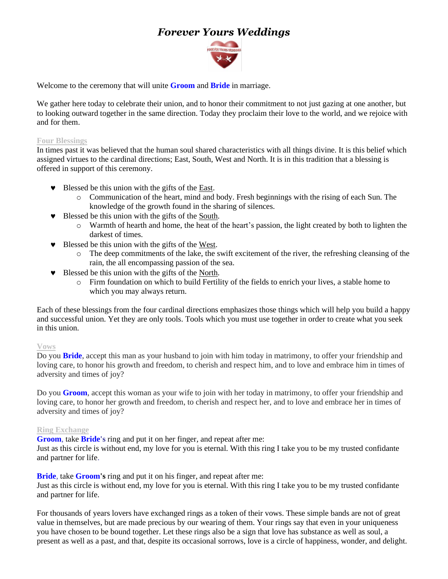# *Forever Yours Weddings*



Welcome to the ceremony that will unite **Groom** and **Bride** in marriage.

We gather here today to celebrate their union, and to honor their commitment to not just gazing at one another, but to looking outward together in the same direction. Today they proclaim their love to the world, and we rejoice with and for them.

### **Four Blessings**

In times past it was believed that the human soul shared characteristics with all things divine. It is this belief which assigned virtues to the cardinal directions; East, South, West and North. It is in this tradition that a blessing is offered in support of this ceremony.

- Blessed be this union with the gifts of the East.
	- o Communication of the heart, mind and body. Fresh beginnings with the rising of each Sun. The knowledge of the growth found in the sharing of silences.
- Blessed be this union with the gifts of the South.
	- o Warmth of hearth and home, the heat of the heart's passion, the light created by both to lighten the darkest of times.
- Blessed be this union with the gifts of the West.
	- o The deep commitments of the lake, the swift excitement of the river, the refreshing cleansing of the rain, the all encompassing passion of the sea.
- Blessed be this union with the gifts of the North.
	- o Firm foundation on which to build Fertility of the fields to enrich your lives, a stable home to which you may always return.

Each of these blessings from the four cardinal directions emphasizes those things which will help you build a happy and successful union. Yet they are only tools. Tools which you must use together in order to create what you seek in this union.

#### **Vows**

Do you **Bride**, accept this man as your husband to join with him today in matrimony, to offer your friendship and loving care, to honor his growth and freedom, to cherish and respect him, and to love and embrace him in times of adversity and times of joy?

Do you **Groom**, accept this woman as your wife to join with her today in matrimony, to offer your friendship and loving care, to honor her growth and freedom, to cherish and respect her, and to love and embrace her in times of adversity and times of joy?

#### **Ring Exchange**

**Groom**, take **Bride's** ring and put it on her finger, and repeat after me:

Just as this circle is without end, my love for you is eternal. With this ring I take you to be my trusted confidante and partner for life.

**Bride**, take **Groom's** ring and put it on his finger, and repeat after me:

Just as this circle is without end, my love for you is eternal. With this ring I take you to be my trusted confidante and partner for life.

For thousands of years lovers have exchanged rings as a token of their vows. These simple bands are not of great value in themselves, but are made precious by our wearing of them. Your rings say that even in your uniqueness you have chosen to be bound together. Let these rings also be a sign that love has substance as well as soul, a present as well as a past, and that, despite its occasional sorrows, love is a circle of happiness, wonder, and delight.